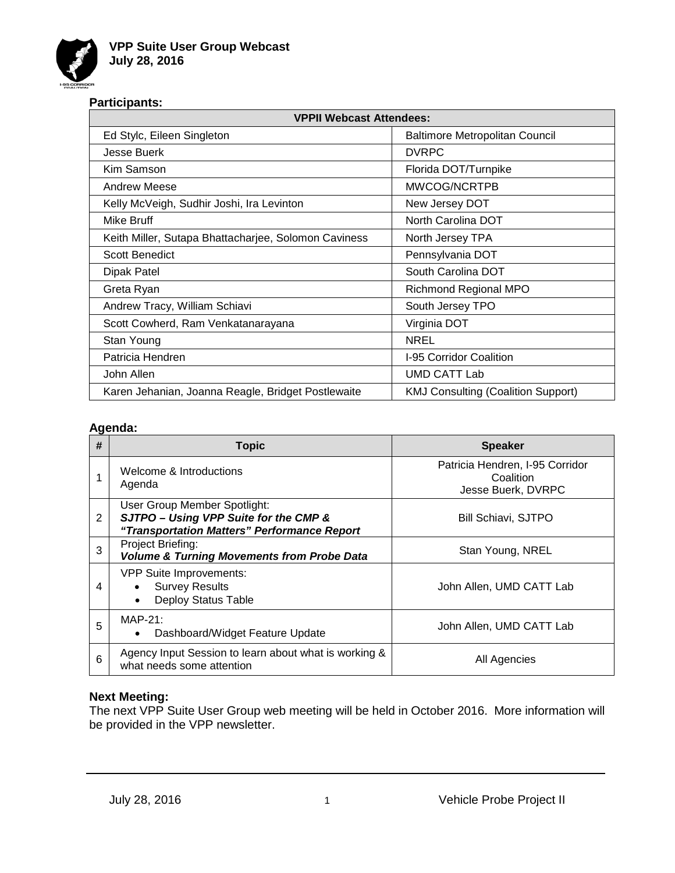

## **Participants:**

| <b>VPPII Webcast Attendees:</b>                      |                                           |  |  |
|------------------------------------------------------|-------------------------------------------|--|--|
| Ed Stylc, Eileen Singleton                           | <b>Baltimore Metropolitan Council</b>     |  |  |
| <b>Jesse Buerk</b>                                   | <b>DVRPC</b>                              |  |  |
| Kim Samson                                           | Florida DOT/Turnpike                      |  |  |
| Andrew Meese                                         | MWCOG/NCRTPB                              |  |  |
| Kelly McVeigh, Sudhir Joshi, Ira Levinton            | New Jersey DOT                            |  |  |
| Mike Bruff                                           | North Carolina DOT                        |  |  |
| Keith Miller, Sutapa Bhattacharjee, Solomon Caviness | North Jersey TPA                          |  |  |
| <b>Scott Benedict</b>                                | Pennsylvania DOT                          |  |  |
| Dipak Patel                                          | South Carolina DOT                        |  |  |
| Greta Ryan                                           | <b>Richmond Regional MPO</b>              |  |  |
| Andrew Tracy, William Schiavi                        | South Jersey TPO                          |  |  |
| Scott Cowherd, Ram Venkatanarayana                   | Virginia DOT                              |  |  |
| Stan Young                                           | <b>NREL</b>                               |  |  |
| Patricia Hendren                                     | I-95 Corridor Coalition                   |  |  |
| John Allen                                           | <b>UMD CATT Lab</b>                       |  |  |
| Karen Jehanian, Joanna Reagle, Bridget Postlewaite   | <b>KMJ Consulting (Coalition Support)</b> |  |  |

## **Agenda:**

| # | <b>Topic</b>                                                                                                         | <b>Speaker</b>                                                     |
|---|----------------------------------------------------------------------------------------------------------------------|--------------------------------------------------------------------|
|   | Welcome & Introductions<br>Agenda                                                                                    | Patricia Hendren, I-95 Corridor<br>Coalition<br>Jesse Buerk, DVRPC |
| 2 | User Group Member Spotlight:<br>SJTPO - Using VPP Suite for the CMP &<br>"Transportation Matters" Performance Report | <b>Bill Schiavi, SJTPO</b>                                         |
| 3 | Project Briefing:<br><b>Volume &amp; Turning Movements from Probe Data</b>                                           | Stan Young, NREL                                                   |
| 4 | VPP Suite Improvements:<br><b>Survey Results</b><br>Deploy Status Table                                              | John Allen, UMD CATT Lab                                           |
| 5 | $MAP-21:$<br>Dashboard/Widget Feature Update                                                                         | John Allen, UMD CATT Lab                                           |
| 6 | Agency Input Session to learn about what is working &<br>what needs some attention                                   | All Agencies                                                       |

## **Next Meeting:**

The next VPP Suite User Group web meeting will be held in October 2016. More information will be provided in the VPP newsletter.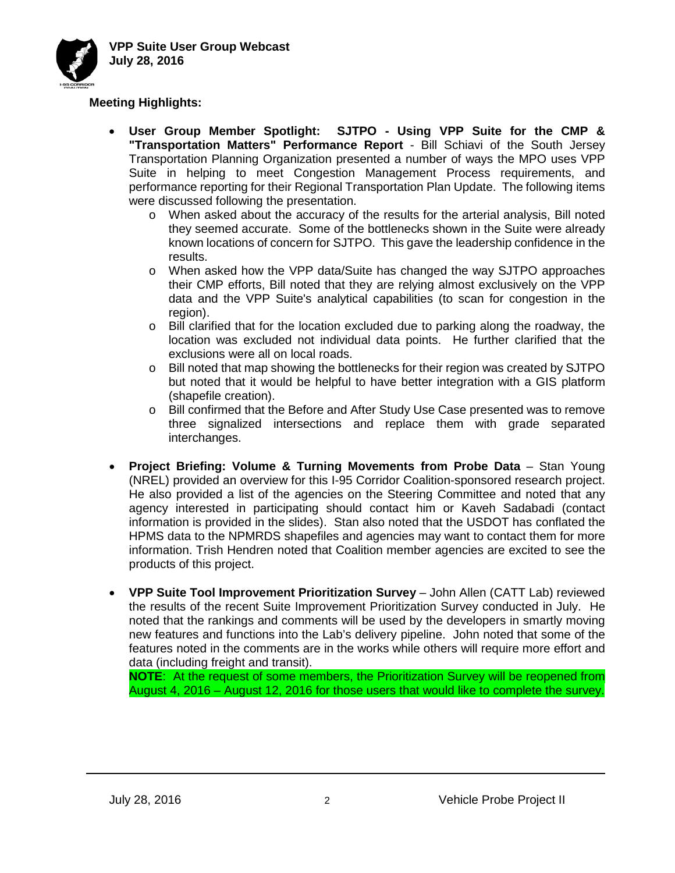

## **Meeting Highlights:**

- **User Group Member Spotlight: SJTPO - Using VPP Suite for the CMP & "Transportation Matters" Performance Report** - Bill Schiavi of the South Jersey Transportation Planning Organization presented a number of ways the MPO uses VPP Suite in helping to meet Congestion Management Process requirements, and performance reporting for their Regional Transportation Plan Update. The following items were discussed following the presentation.
	- o When asked about the accuracy of the results for the arterial analysis, Bill noted they seemed accurate. Some of the bottlenecks shown in the Suite were already known locations of concern for SJTPO. This gave the leadership confidence in the results.
	- o When asked how the VPP data/Suite has changed the way SJTPO approaches their CMP efforts, Bill noted that they are relying almost exclusively on the VPP data and the VPP Suite's analytical capabilities (to scan for congestion in the region).
	- $\circ$  Bill clarified that for the location excluded due to parking along the roadway, the location was excluded not individual data points. He further clarified that the exclusions were all on local roads.
	- o Bill noted that map showing the bottlenecks for their region was created by SJTPO but noted that it would be helpful to have better integration with a GIS platform (shapefile creation).
	- o Bill confirmed that the Before and After Study Use Case presented was to remove three signalized intersections and replace them with grade separated interchanges.
- **Project Briefing: Volume & Turning Movements from Probe Data** Stan Young (NREL) provided an overview for this I-95 Corridor Coalition-sponsored research project. He also provided a list of the agencies on the Steering Committee and noted that any agency interested in participating should contact him or Kaveh Sadabadi (contact information is provided in the slides). Stan also noted that the USDOT has conflated the HPMS data to the NPMRDS shapefiles and agencies may want to contact them for more information. Trish Hendren noted that Coalition member agencies are excited to see the products of this project.
- **VPP Suite Tool Improvement Prioritization Survey** John Allen (CATT Lab) reviewed the results of the recent Suite Improvement Prioritization Survey conducted in July. He noted that the rankings and comments will be used by the developers in smartly moving new features and functions into the Lab's delivery pipeline. John noted that some of the features noted in the comments are in the works while others will require more effort and data (including freight and transit).

**NOTE**: At the request of some members, the Prioritization Survey will be reopened from August 4, 2016 – August 12, 2016 for those users that would like to complete the survey.